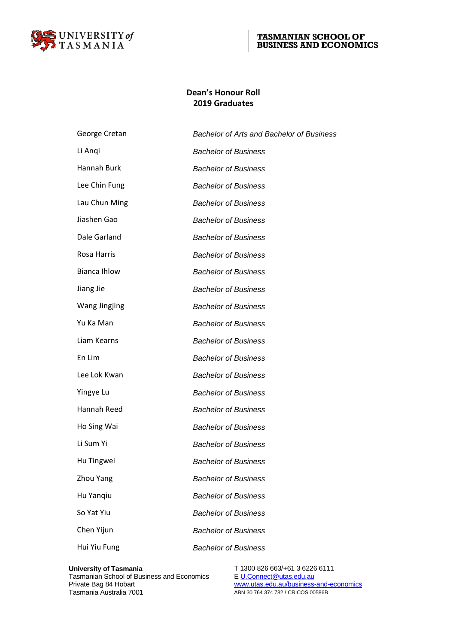

### **Dean's Honour Roll 2019 Graduates**

| George Cretan        | <b>Bachelor of Arts and Bachelor of Business</b> |
|----------------------|--------------------------------------------------|
| Li Angi              | <b>Bachelor of Business</b>                      |
| Hannah Burk          | <b>Bachelor of Business</b>                      |
| Lee Chin Fung        | <b>Bachelor of Business</b>                      |
| Lau Chun Ming        | <b>Bachelor of Business</b>                      |
| Jiashen Gao          | <b>Bachelor of Business</b>                      |
| Dale Garland         | <b>Bachelor of Business</b>                      |
| Rosa Harris          | <b>Bachelor of Business</b>                      |
| <b>Bianca Ihlow</b>  | <b>Bachelor of Business</b>                      |
| Jiang Jie            | <b>Bachelor of Business</b>                      |
| <b>Wang Jingjing</b> | <b>Bachelor of Business</b>                      |
| Yu Ka Man            | <b>Bachelor of Business</b>                      |
| Liam Kearns          | <b>Bachelor of Business</b>                      |
| En Lim               | <b>Bachelor of Business</b>                      |
| Lee Lok Kwan         | <b>Bachelor of Business</b>                      |
| Yingye Lu            | <b>Bachelor of Business</b>                      |
| Hannah Reed          | <b>Bachelor of Business</b>                      |
| Ho Sing Wai          | <b>Bachelor of Business</b>                      |
| Li Sum Yi            | <b>Bachelor of Business</b>                      |
| Hu Tingwei           | <b>Bachelor of Business</b>                      |
| Zhou Yang            | <b>Bachelor of Business</b>                      |
| Hu Yanqiu            | <b>Bachelor of Business</b>                      |
| So Yat Yiu           | <b>Bachelor of Business</b>                      |
| Chen Yijun           | <b>Bachelor of Business</b>                      |
| Hui Yiu Fung         | <b>Bachelor of Business</b>                      |
|                      |                                                  |

Tasmanian School of Business and Economics<br>Private Bag 84 Hobart

**University of Tasmania** T 1300 826 663/+61 3 6226 6111 Tasmanian School of Business and Economics<br>
Private Bag 84 Hobart Www.utas.edu.au/business-and-economics<br>
Tasmania Australia 7001 ABN 30 764 374 782 / CRICOS 00586B ABN 30 764 374 782 / CRICOS 00586B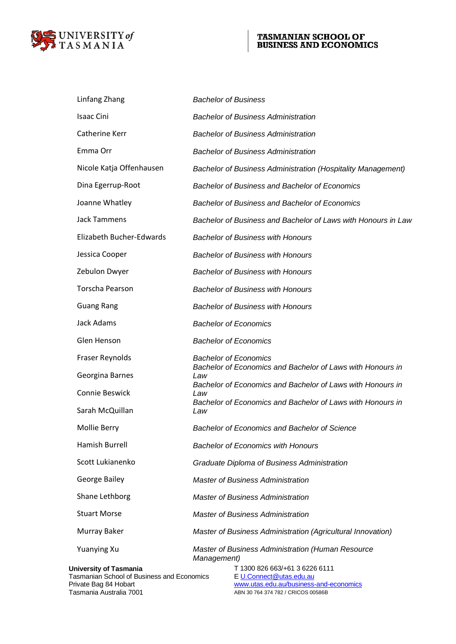

| Linfang Zhang                 | <b>Bachelor of Business</b>                                         |
|-------------------------------|---------------------------------------------------------------------|
| <b>Isaac Cini</b>             | <b>Bachelor of Business Administration</b>                          |
| Catherine Kerr                | <b>Bachelor of Business Administration</b>                          |
| Emma Orr                      | <b>Bachelor of Business Administration</b>                          |
| Nicole Katja Offenhausen      | <b>Bachelor of Business Administration (Hospitality Management)</b> |
| Dina Egerrup-Root             | <b>Bachelor of Business and Bachelor of Economics</b>               |
| Joanne Whatley                | <b>Bachelor of Business and Bachelor of Economics</b>               |
| <b>Jack Tammens</b>           | Bachelor of Business and Bachelor of Laws with Honours in Law       |
| Elizabeth Bucher-Edwards      | <b>Bachelor of Business with Honours</b>                            |
| Jessica Cooper                | <b>Bachelor of Business with Honours</b>                            |
| Zebulon Dwyer                 | <b>Bachelor of Business with Honours</b>                            |
| <b>Torscha Pearson</b>        | <b>Bachelor of Business with Honours</b>                            |
| <b>Guang Rang</b>             | <b>Bachelor of Business with Honours</b>                            |
| <b>Jack Adams</b>             | <b>Bachelor of Economics</b>                                        |
| Glen Henson                   | <b>Bachelor of Economics</b>                                        |
| <b>Fraser Reynolds</b>        | <b>Bachelor of Economics</b>                                        |
| Georgina Barnes               | Bachelor of Economics and Bachelor of Laws with Honours in<br>Law   |
| Connie Beswick                | Bachelor of Economics and Bachelor of Laws with Honours in<br>Law   |
| Sarah McQuillan               | Bachelor of Economics and Bachelor of Laws with Honours in<br>Law   |
| Mollie Berry                  | Bachelor of Economics and Bachelor of Science                       |
| Hamish Burrell                | <b>Bachelor of Economics with Honours</b>                           |
| Scott Lukianenko              | Graduate Diploma of Business Administration                         |
| George Bailey                 | <b>Master of Business Administration</b>                            |
| Shane Lethborg                | <b>Master of Business Administration</b>                            |
| <b>Stuart Morse</b>           | <b>Master of Business Administration</b>                            |
| Murray Baker                  | Master of Business Administration (Agricultural Innovation)         |
| <b>Yuanying Xu</b>            | Master of Business Administration (Human Resource<br>Management)    |
| <b>University of Tasmania</b> | T 1300 826 663/+61 3 6226 6111                                      |

Tasmanian School of Business and Economics  $E_\text{U.Connect@utas.edu.au}$ 

**University of Tasmania**<br>
Tasmanian School of Business and Economics<br>
Private Bag 84 Hobart Www.utas.edu.au/business-and-economics<br>
Tasmania Australia 7001 ABN 30 764 374 782 / CRICOS 00586B ABN 30 764 374 782 / CRICOS 00586B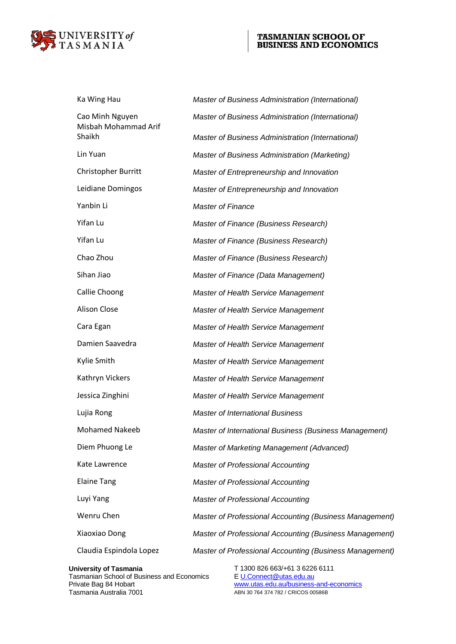

| Ka Wing Hau                             | Master of Business Administration (International)       |
|-----------------------------------------|---------------------------------------------------------|
| Cao Minh Nguyen<br>Misbah Mohammad Arif | Master of Business Administration (International)       |
| Shaikh                                  | Master of Business Administration (International)       |
| Lin Yuan                                | Master of Business Administration (Marketing)           |
| Christopher Burritt                     | Master of Entrepreneurship and Innovation               |
| Leidiane Domingos                       | Master of Entrepreneurship and Innovation               |
| Yanbin Li                               | <b>Master of Finance</b>                                |
| Yifan Lu                                | Master of Finance (Business Research)                   |
| Yifan Lu                                | Master of Finance (Business Research)                   |
| Chao Zhou                               | Master of Finance (Business Research)                   |
| Sihan Jiao                              | Master of Finance (Data Management)                     |
| Callie Choong                           | Master of Health Service Management                     |
| Alison Close                            | Master of Health Service Management                     |
| Cara Egan                               | Master of Health Service Management                     |
| Damien Saavedra                         | Master of Health Service Management                     |
| Kylie Smith                             | Master of Health Service Management                     |
| Kathryn Vickers                         | Master of Health Service Management                     |
| Jessica Zinghini                        | Master of Health Service Management                     |
| Lujia Rong                              | <b>Master of International Business</b>                 |
| <b>Mohamed Nakeeb</b>                   | Master of International Business (Business Management)  |
| Diem Phuong Le                          | Master of Marketing Management (Advanced)               |
| Kate Lawrence                           | <b>Master of Professional Accounting</b>                |
| <b>Elaine Tang</b>                      | <b>Master of Professional Accounting</b>                |
| Luyi Yang                               | <b>Master of Professional Accounting</b>                |
| Wenru Chen                              | Master of Professional Accounting (Business Management) |
| Xiaoxiao Dong                           | Master of Professional Accounting (Business Management) |
| Claudia Espindola Lopez                 | Master of Professional Accounting (Business Management) |
|                                         |                                                         |

Tasmanian School of Business and Economics<br>Private Bag 84 Hobart

**University of Tasmania** T 1300 826 663/+61 3 6226 6111 Tasmanian School of Business and Economics<br>
Private Bag 84 Hobart Www.utas.edu.au/business-and-economics<br>
Tasmania Australia 7001 MBN 30 764 374 782 / CRICOS 00586B ABN 30 764 374 782 / CRICOS 00586B